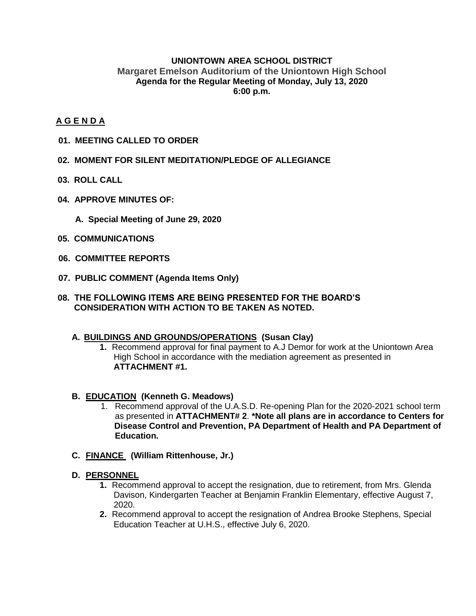### **UNIONTOWN AREA SCHOOL DISTRICT Margaret Emelson Auditorium of the Uniontown High School Agenda for the Regular Meeting of Monday, July 13, 2020 6:00 p.m.**

### **A G E N D A**

- **01. MEETING CALLED TO ORDER**
- **02. MOMENT FOR SILENT MEDITATION/PLEDGE OF ALLEGIANCE**
- **03. ROLL CALL**
- **04. APPROVE MINUTES OF:**
	- **A. Special Meeting of June 29, 2020**
- **05. COMMUNICATIONS**
- **06. COMMITTEE REPORTS**
- **07. PUBLIC COMMENT (Agenda Items Only)**
- **08. THE FOLLOWING ITEMS ARE BEING PRESENTED FOR THE BOARD'S CONSIDERATION WITH ACTION TO BE TAKEN AS NOTED.**

#### **A. BUILDINGS AND GROUNDS/OPERATIONS (Susan Clay)**

**1.** Recommend approval for final payment to A.J Demor for work at the Uniontown Area High School in accordance with the mediation agreement as presented in **ATTACHMENT #1.**

#### **B. EDUCATION (Kenneth G. Meadows)**

- 1. Recommend approval of the U.A.S.D. Re-opening Plan for the 2020-2021 school term as presented in **ATTACHMENT# 2**. **\*Note all plans are in accordance to Centers for Disease Control and Prevention, PA Department of Health and PA Department of Education.**
- **C. FINANCE (William Rittenhouse, Jr.)**

#### **D. PERSONNEL**

- **1.** Recommend approval to accept the resignation, due to retirement, from Mrs. Glenda Davison, Kindergarten Teacher at Benjamin Franklin Elementary, effective August 7, 2020.
- **2.** Recommend approval to accept the resignation of Andrea Brooke Stephens, Special Education Teacher at U.H.S., effective July 6, 2020.